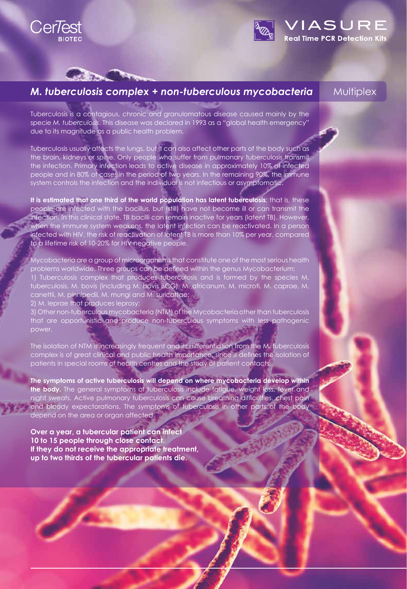

**CONTRACTOR** 



# *M. tuberculosis complex + non-tuberculous mycobacteria*

### **Multiplex**

Re<mark>al Time PCR Det</mark>ection Kits

Tuberculosis is a contagious, chronic and granulomatous disease caused mainly by the specie *M. tuberculosis*. This disease was declared in 1993 as a "global health emergency" due to its magnitude as a public health problem.

Tuberculosis usually affects the lungs, but it can also affect other parts of the body such as the brain, kidneys or spine. Only people who suffer from pulmonary tuberculosis transmit the infection. Primary infection leads to active disease in approximately 10% of infected people and in 80% of cases in the period of two years. In the remaining 90%, the immune system controls the infection and the individual is not infectious or asymptomatic.

**It is estimated that one third of the world population has latent tuberculosis**; that is, these people are infected with the bacillus, but (still) have not become ill or can transmit the infection. In this clinical state, TB bacilli can remain inactive for years (latent TB). However, when the immune system weakens, the latent infection can be reactivated. In a person infected with HIV, the risk of reactivation of latent TB is more than 10% per year, compared to a lifetime risk of 10-20% for HIV negative people.

Mycobacteria are a group of microorganisms that constitute one of the most serious health problems worldwide. Three groups can be defined within the genus Mycobacterium: 1) Tuberculosis complex that produces tuberculosis and is formed by the species M. tuberculosis, M. bovis (including M. bovis BCG), M. africanum, M. microti, M. caprae, M. canettii, M. pinnipedii, M. mungi and M. suricattae;

2) M. leprae that produces leprosy;

3) Other non-tuberculous mycobacteria (NTM) of the Mycobacteria other than tuberculosis that are opportunistic and produce non-tuberculous symptoms with less pathogenic power.

The isolation of NTM is increasingly frequent and its differentiation from the M. tuberculosis complex is of great clinical and public health importance, since it defines the isolation of patients in special rooms of health centres and the study of patient contacts.

**The symptoms of active tuberculosis will depend on where mycobacteria develop within the body.** The general symptoms of tuberculosis include fatigue, weight loss, fever and night sweats. Active pulmonary tuberculosis can cause breathing difficulties, chest pain and bloody expectorations. The symptoms of tuberculosis in other parts of the body depend on the area or organ affected.

**Over a year, a tubercular patient can infect 10 to 15 people through close contact. If they do not receive the appropriate treatment, up to two thirds of the tubercular patients die.**